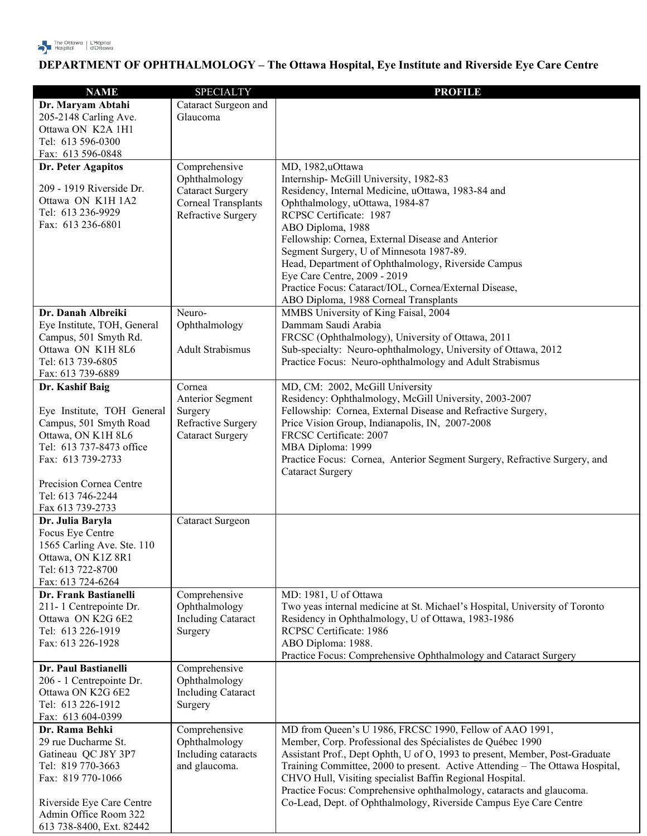

## **DEPARTMENT OF OPHTHALMOLOGY – The Ottawa Hospital, Eye Institute and Riverside Eye Care Centre**

| <b>NAME</b>                                  | <b>SPECIALTY</b>               | <b>PROFILE</b>                                                                                                        |
|----------------------------------------------|--------------------------------|-----------------------------------------------------------------------------------------------------------------------|
| Dr. Maryam Abtahi                            | Cataract Surgeon and           |                                                                                                                       |
| 205-2148 Carling Ave.                        | Glaucoma                       |                                                                                                                       |
| Ottawa ON K2A 1H1                            |                                |                                                                                                                       |
| Tel: 613 596-0300                            |                                |                                                                                                                       |
| Fax: 613 596-0848                            |                                |                                                                                                                       |
| Dr. Peter Agapitos                           | Comprehensive                  | MD, 1982,uOttawa                                                                                                      |
|                                              | Ophthalmology                  | Internship-McGill University, 1982-83                                                                                 |
| 209 - 1919 Riverside Dr.                     | <b>Cataract Surgery</b>        | Residency, Internal Medicine, uOttawa, 1983-84 and                                                                    |
| Ottawa ON K1H 1A2                            | <b>Corneal Transplants</b>     | Ophthalmology, uOttawa, 1984-87                                                                                       |
| Tel: 613 236-9929<br>Fax: 613 236-6801       | Refractive Surgery             | RCPSC Certificate: 1987                                                                                               |
|                                              |                                | ABO Diploma, 1988                                                                                                     |
|                                              |                                | Fellowship: Cornea, External Disease and Anterior                                                                     |
|                                              |                                | Segment Surgery, U of Minnesota 1987-89.                                                                              |
|                                              |                                | Head, Department of Ophthalmology, Riverside Campus<br>Eye Care Centre, 2009 - 2019                                   |
|                                              |                                | Practice Focus: Cataract/IOL, Cornea/External Disease,                                                                |
|                                              |                                | ABO Diploma, 1988 Corneal Transplants                                                                                 |
| Dr. Danah Albreiki                           | Neuro-                         | MMBS University of King Faisal, 2004                                                                                  |
| Eye Institute, TOH, General                  | Ophthalmology                  | Dammam Saudi Arabia                                                                                                   |
| Campus, 501 Smyth Rd.                        |                                | FRCSC (Ophthalmology), University of Ottawa, 2011                                                                     |
| Ottawa ON K1H 8L6                            | <b>Adult Strabismus</b>        | Sub-specialty: Neuro-ophthalmology, University of Ottawa, 2012                                                        |
| Tel: 613 739-6805                            |                                | Practice Focus: Neuro-ophthalmology and Adult Strabismus                                                              |
| Fax: 613 739-6889                            |                                |                                                                                                                       |
| Dr. Kashif Baig                              | Cornea                         | MD, CM: 2002, McGill University                                                                                       |
|                                              | Anterior Segment               | Residency: Ophthalmology, McGill University, 2003-2007                                                                |
| Eye Institute, TOH General                   | Surgery                        | Fellowship: Cornea, External Disease and Refractive Surgery,                                                          |
| Campus, 501 Smyth Road                       | Refractive Surgery             | Price Vision Group, Indianapolis, IN, 2007-2008                                                                       |
| Ottawa, ON K1H 8L6                           | <b>Cataract Surgery</b>        | FRCSC Certificate: 2007                                                                                               |
| Tel: 613 737-8473 office                     |                                | MBA Diploma: 1999                                                                                                     |
| Fax: 613 739-2733                            |                                | Practice Focus: Cornea, Anterior Segment Surgery, Refractive Surgery, and                                             |
|                                              |                                | <b>Cataract Surgery</b>                                                                                               |
| Precision Cornea Centre<br>Tel: 613 746-2244 |                                |                                                                                                                       |
| Fax 613 739-2733                             |                                |                                                                                                                       |
| Dr. Julia Baryla                             | Cataract Surgeon               |                                                                                                                       |
| Focus Eye Centre                             |                                |                                                                                                                       |
| 1565 Carling Ave. Ste. 110                   |                                |                                                                                                                       |
| Ottawa, ON K1Z 8R1                           |                                |                                                                                                                       |
| Tel: 613 722-8700                            |                                |                                                                                                                       |
| Fax: 613 724-6264                            |                                |                                                                                                                       |
| Dr. Frank Bastianelli                        | Comprehensive                  | MD: 1981, U of Ottawa                                                                                                 |
| 211-1 Centrepointe Dr.                       | Ophthalmology                  | Two yeas internal medicine at St. Michael's Hospital, University of Toronto                                           |
| Ottawa ON K2G 6E2                            | <b>Including Cataract</b>      | Residency in Ophthalmology, U of Ottawa, 1983-1986                                                                    |
| Tel: 613 226-1919                            | Surgery                        | RCPSC Certificate: 1986                                                                                               |
| Fax: 613 226-1928                            |                                | ABO Diploma: 1988.                                                                                                    |
|                                              |                                | Practice Focus: Comprehensive Ophthalmology and Cataract Surgery                                                      |
| Dr. Paul Bastianelli                         | Comprehensive                  |                                                                                                                       |
| 206 - 1 Centrepointe Dr.                     | Ophthalmology                  |                                                                                                                       |
| Ottawa ON K2G 6E2                            | <b>Including Cataract</b>      |                                                                                                                       |
| Tel: 613 226-1912                            | Surgery                        |                                                                                                                       |
| Fax: 613 604-0399<br>Dr. Rama Behki          |                                |                                                                                                                       |
| 29 rue Ducharme St.                          | Comprehensive<br>Ophthalmology | MD from Queen's U 1986, FRCSC 1990, Fellow of AAO 1991,<br>Member, Corp. Professional des Spécialistes de Québec 1990 |
| Gatineau QC J8Y 3P7                          | Including cataracts            | Assistant Prof., Dept Ophth, U of O, 1993 to present, Member, Post-Graduate                                           |
| Tel: 819 770-3663                            | and glaucoma.                  | Training Committee, 2000 to present. Active Attending - The Ottawa Hospital,                                          |
| Fax: 819 770-1066                            |                                | CHVO Hull, Visiting specialist Baffin Regional Hospital.                                                              |
|                                              |                                | Practice Focus: Comprehensive ophthalmology, cataracts and glaucoma.                                                  |
| Riverside Eye Care Centre                    |                                | Co-Lead, Dept. of Ophthalmology, Riverside Campus Eye Care Centre                                                     |
| Admin Office Room 322                        |                                |                                                                                                                       |
| 613 738-8400, Ext. 82442                     |                                |                                                                                                                       |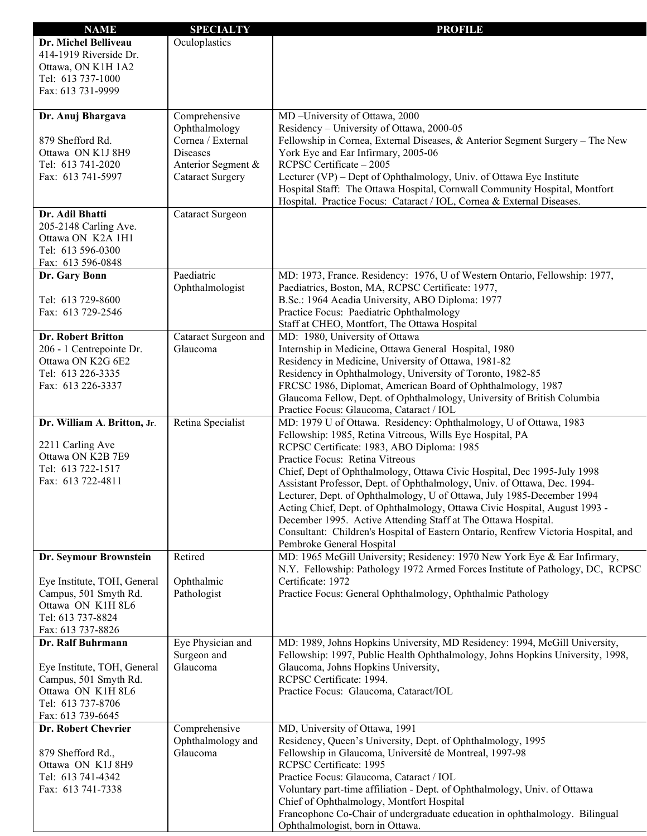| <b>NAME</b>                 | <b>SPECIALTY</b>                 | <b>PROFILE</b>                                                                                                                                               |
|-----------------------------|----------------------------------|--------------------------------------------------------------------------------------------------------------------------------------------------------------|
| Dr. Michel Belliveau        | Oculoplastics                    |                                                                                                                                                              |
| 414-1919 Riverside Dr.      |                                  |                                                                                                                                                              |
| Ottawa, ON K1H 1A2          |                                  |                                                                                                                                                              |
| Tel: 613 737-1000           |                                  |                                                                                                                                                              |
| Fax: 613 731-9999           |                                  |                                                                                                                                                              |
|                             |                                  |                                                                                                                                                              |
| Dr. Anuj Bhargava           | Comprehensive                    | MD-University of Ottawa, 2000                                                                                                                                |
|                             | Ophthalmology                    | Residency - University of Ottawa, 2000-05                                                                                                                    |
| 879 Shefford Rd.            | Cornea / External                | Fellowship in Cornea, External Diseases, & Anterior Segment Surgery - The New                                                                                |
| Ottawa ON K1J 8H9           | <b>Diseases</b>                  | York Eye and Ear Infirmary, 2005-06                                                                                                                          |
| Tel: 613 741-2020           | Anterior Segment &               | RCPSC Certificate - 2005                                                                                                                                     |
| Fax: 613 741-5997           | <b>Cataract Surgery</b>          | Lecturer (VP) – Dept of Ophthalmology, Univ. of Ottawa Eye Institute                                                                                         |
|                             |                                  | Hospital Staff: The Ottawa Hospital, Cornwall Community Hospital, Montfort                                                                                   |
| Dr. Adil Bhatti             |                                  | Hospital. Practice Focus: Cataract / IOL, Cornea & External Diseases.                                                                                        |
| 205-2148 Carling Ave.       | Cataract Surgeon                 |                                                                                                                                                              |
| Ottawa ON K2A 1H1           |                                  |                                                                                                                                                              |
| Tel: 613 596-0300           |                                  |                                                                                                                                                              |
| Fax: 613 596-0848           |                                  |                                                                                                                                                              |
| Dr. Gary Bonn               | Paediatric                       | MD: 1973, France. Residency: 1976, U of Western Ontario, Fellowship: 1977,                                                                                   |
|                             | Ophthalmologist                  | Paediatrics, Boston, MA, RCPSC Certificate: 1977,                                                                                                            |
| Tel: 613 729-8600           |                                  | B.Sc.: 1964 Acadia University, ABO Diploma: 1977                                                                                                             |
| Fax: 613 729-2546           |                                  | Practice Focus: Paediatric Ophthalmology                                                                                                                     |
|                             |                                  | Staff at CHEO, Montfort, The Ottawa Hospital                                                                                                                 |
| <b>Dr. Robert Britton</b>   | Cataract Surgeon and             | MD: 1980, University of Ottawa                                                                                                                               |
| 206 - 1 Centrepointe Dr.    | Glaucoma                         | Internship in Medicine, Ottawa General Hospital, 1980                                                                                                        |
| Ottawa ON K2G 6E2           |                                  | Residency in Medicine, University of Ottawa, 1981-82                                                                                                         |
| Tel: 613 226-3335           |                                  | Residency in Ophthalmology, University of Toronto, 1982-85                                                                                                   |
| Fax: 613 226-3337           |                                  | FRCSC 1986, Diplomat, American Board of Ophthalmology, 1987                                                                                                  |
|                             |                                  | Glaucoma Fellow, Dept. of Ophthalmology, University of British Columbia                                                                                      |
|                             |                                  | Practice Focus: Glaucoma, Cataract / IOL                                                                                                                     |
| Dr. William A. Britton, Jr. | Retina Specialist                | MD: 1979 U of Ottawa. Residency: Ophthalmology, U of Ottawa, 1983                                                                                            |
| 2211 Carling Ave            |                                  | Fellowship: 1985, Retina Vitreous, Wills Eye Hospital, PA                                                                                                    |
| Ottawa ON K2B 7E9           |                                  | RCPSC Certificate: 1983, ABO Diploma: 1985                                                                                                                   |
| Tel: 613 722-1517           |                                  | Practice Focus: Retina Vitreous                                                                                                                              |
| Fax: 613 722-4811           |                                  | Chief, Dept of Ophthalmology, Ottawa Civic Hospital, Dec 1995-July 1998<br>Assistant Professor, Dept. of Ophthalmology, Univ. of Ottawa, Dec. 1994-          |
|                             |                                  | Lecturer, Dept. of Ophthalmology, U of Ottawa, July 1985-December 1994                                                                                       |
|                             |                                  | Acting Chief, Dept. of Ophthalmology, Ottawa Civic Hospital, August 1993 -                                                                                   |
|                             |                                  | December 1995. Active Attending Staff at The Ottawa Hospital.                                                                                                |
|                             |                                  | Consultant: Children's Hospital of Eastern Ontario, Renfrew Victoria Hospital, and                                                                           |
|                             |                                  | Pembroke General Hospital                                                                                                                                    |
| Dr. Seymour Brownstein      | Retired                          | MD: 1965 McGill University; Residency: 1970 New York Eye & Ear Infirmary,                                                                                    |
|                             |                                  | N.Y. Fellowship: Pathology 1972 Armed Forces Institute of Pathology, DC, RCPSC                                                                               |
| Eye Institute, TOH, General | Ophthalmic                       | Certificate: 1972                                                                                                                                            |
| Campus, 501 Smyth Rd.       | Pathologist                      | Practice Focus: General Ophthalmology, Ophthalmic Pathology                                                                                                  |
| Ottawa ON K1H 8L6           |                                  |                                                                                                                                                              |
| Tel: 613 737-8824           |                                  |                                                                                                                                                              |
| Fax: 613 737-8826           |                                  |                                                                                                                                                              |
| Dr. Ralf Buhrmann           | Eye Physician and<br>Surgeon and | MD: 1989, Johns Hopkins University, MD Residency: 1994, McGill University,<br>Fellowship: 1997, Public Health Ophthalmology, Johns Hopkins University, 1998, |
| Eye Institute, TOH, General | Glaucoma                         | Glaucoma, Johns Hopkins University,                                                                                                                          |
| Campus, 501 Smyth Rd.       |                                  | RCPSC Certificate: 1994.                                                                                                                                     |
| Ottawa ON K1H 8L6           |                                  | Practice Focus: Glaucoma, Cataract/IOL                                                                                                                       |
| Tel: 613 737-8706           |                                  |                                                                                                                                                              |
| Fax: 613 739-6645           |                                  |                                                                                                                                                              |
| Dr. Robert Chevrier         | Comprehensive                    | MD, University of Ottawa, 1991                                                                                                                               |
|                             | Ophthalmology and                | Residency, Queen's University, Dept. of Ophthalmology, 1995                                                                                                  |
| 879 Shefford Rd.,           | Glaucoma                         | Fellowship in Glaucoma, Université de Montreal, 1997-98                                                                                                      |
| Ottawa ON K1J 8H9           |                                  | RCPSC Certificate: 1995                                                                                                                                      |
| Tel: 613 741-4342           |                                  | Practice Focus: Glaucoma, Cataract / IOL                                                                                                                     |
| Fax: 613 741-7338           |                                  | Voluntary part-time affiliation - Dept. of Ophthalmology, Univ. of Ottawa                                                                                    |
|                             |                                  | Chief of Ophthalmology, Montfort Hospital                                                                                                                    |
|                             |                                  | Francophone Co-Chair of undergraduate education in ophthalmology. Bilingual                                                                                  |
|                             |                                  | Ophthalmologist, born in Ottawa.                                                                                                                             |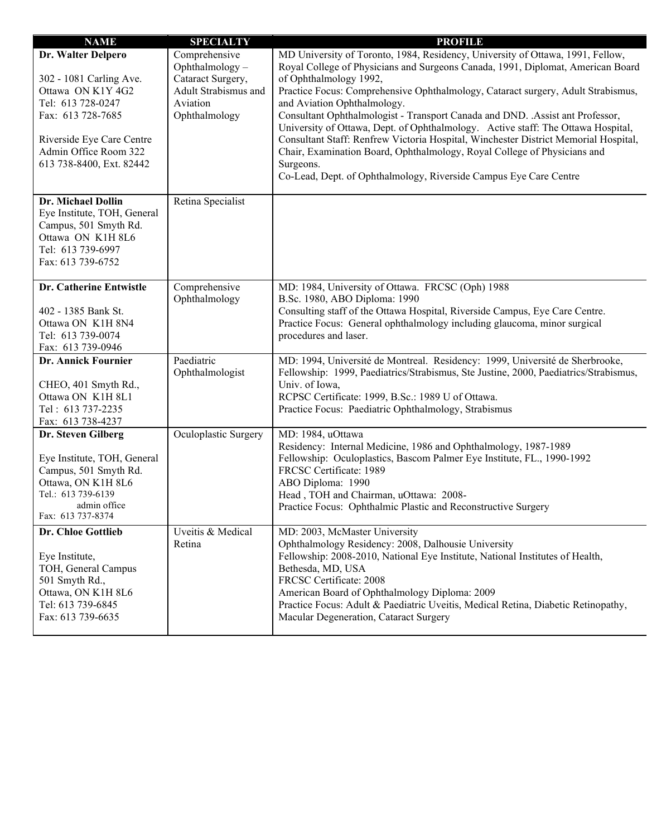| <b>NAME</b>                                                                                                                                                                                    | <b>SPECIALTY</b>                                                                                          | <b>PROFILE</b>                                                                                                                                                                                                                                                                                                                                                                                                                                                                                                                                                                                                                                                                                                                            |
|------------------------------------------------------------------------------------------------------------------------------------------------------------------------------------------------|-----------------------------------------------------------------------------------------------------------|-------------------------------------------------------------------------------------------------------------------------------------------------------------------------------------------------------------------------------------------------------------------------------------------------------------------------------------------------------------------------------------------------------------------------------------------------------------------------------------------------------------------------------------------------------------------------------------------------------------------------------------------------------------------------------------------------------------------------------------------|
| Dr. Walter Delpero<br>302 - 1081 Carling Ave.<br>Ottawa ON K1Y 4G2<br>Tel: 613 728-0247<br>Fax: 613 728-7685<br>Riverside Eye Care Centre<br>Admin Office Room 322<br>613 738-8400, Ext. 82442 | Comprehensive<br>Ophthalmology-<br>Cataract Surgery,<br>Adult Strabismus and<br>Aviation<br>Ophthalmology | MD University of Toronto, 1984, Residency, University of Ottawa, 1991, Fellow,<br>Royal College of Physicians and Surgeons Canada, 1991, Diplomat, American Board<br>of Ophthalmology 1992,<br>Practice Focus: Comprehensive Ophthalmology, Cataract surgery, Adult Strabismus,<br>and Aviation Ophthalmology.<br>Consultant Ophthalmologist - Transport Canada and DND. . Assist ant Professor,<br>University of Ottawa, Dept. of Ophthalmology. Active staff: The Ottawa Hospital,<br>Consultant Staff: Renfrew Victoria Hospital, Winchester District Memorial Hospital,<br>Chair, Examination Board, Ophthalmology, Royal College of Physicians and<br>Surgeons.<br>Co-Lead, Dept. of Ophthalmology, Riverside Campus Eye Care Centre |
| Dr. Michael Dollin<br>Eye Institute, TOH, General<br>Campus, 501 Smyth Rd.<br>Ottawa ON K1H 8L6<br>Tel: 613 739-6997<br>Fax: 613 739-6752                                                      | Retina Specialist                                                                                         |                                                                                                                                                                                                                                                                                                                                                                                                                                                                                                                                                                                                                                                                                                                                           |
| Dr. Catherine Entwistle<br>402 - 1385 Bank St.<br>Ottawa ON K1H 8N4<br>Tel: 613 739-0074<br>Fax: 613 739-0946                                                                                  | Comprehensive<br>Ophthalmology                                                                            | MD: 1984, University of Ottawa. FRCSC (Oph) 1988<br>B.Sc. 1980, ABO Diploma: 1990<br>Consulting staff of the Ottawa Hospital, Riverside Campus, Eye Care Centre.<br>Practice Focus: General ophthalmology including glaucoma, minor surgical<br>procedures and laser.                                                                                                                                                                                                                                                                                                                                                                                                                                                                     |
| Dr. Annick Fournier<br>CHEO, 401 Smyth Rd.,<br>Ottawa ON K1H 8L1<br>Tel: 613 737-2235<br>Fax: 613 738-4237                                                                                     | Paediatric<br>Ophthalmologist                                                                             | MD: 1994, Université de Montreal. Residency: 1999, Université de Sherbrooke,<br>Fellowship: 1999, Paediatrics/Strabismus, Ste Justine, 2000, Paediatrics/Strabismus,<br>Univ. of Iowa,<br>RCPSC Certificate: 1999, B.Sc.: 1989 U of Ottawa.<br>Practice Focus: Paediatric Ophthalmology, Strabismus                                                                                                                                                                                                                                                                                                                                                                                                                                       |
| Dr. Steven Gilberg<br>Eye Institute, TOH, General<br>Campus, 501 Smyth Rd.<br>Ottawa, ON K1H 8L6<br>Tel.: 613 739-6139<br>admin office<br>Fax: 613 737-8374                                    | Oculoplastic Surgery                                                                                      | MD: 1984, uOttawa<br>Residency: Internal Medicine, 1986 and Ophthalmology, 1987-1989<br>Fellowship: Oculoplastics, Bascom Palmer Eye Institute, FL., 1990-1992<br>FRCSC Certificate: 1989<br>ABO Diploma: 1990<br>Head, TOH and Chairman, uOttawa: 2008-<br>Practice Focus: Ophthalmic Plastic and Reconstructive Surgery                                                                                                                                                                                                                                                                                                                                                                                                                 |
| Dr. Chloe Gottlieb<br>Eye Institute,<br>TOH, General Campus<br>501 Smyth Rd.,<br>Ottawa, ON K1H 8L6<br>Tel: 613 739-6845<br>Fax: 613 739-6635                                                  | Uveitis & Medical<br>Retina                                                                               | MD: 2003, McMaster University<br>Ophthalmology Residency: 2008, Dalhousie University<br>Fellowship: 2008-2010, National Eye Institute, National Institutes of Health,<br>Bethesda, MD, USA<br>FRCSC Certificate: 2008<br>American Board of Ophthalmology Diploma: 2009<br>Practice Focus: Adult & Paediatric Uveitis, Medical Retina, Diabetic Retinopathy,<br>Macular Degeneration, Cataract Surgery                                                                                                                                                                                                                                                                                                                                     |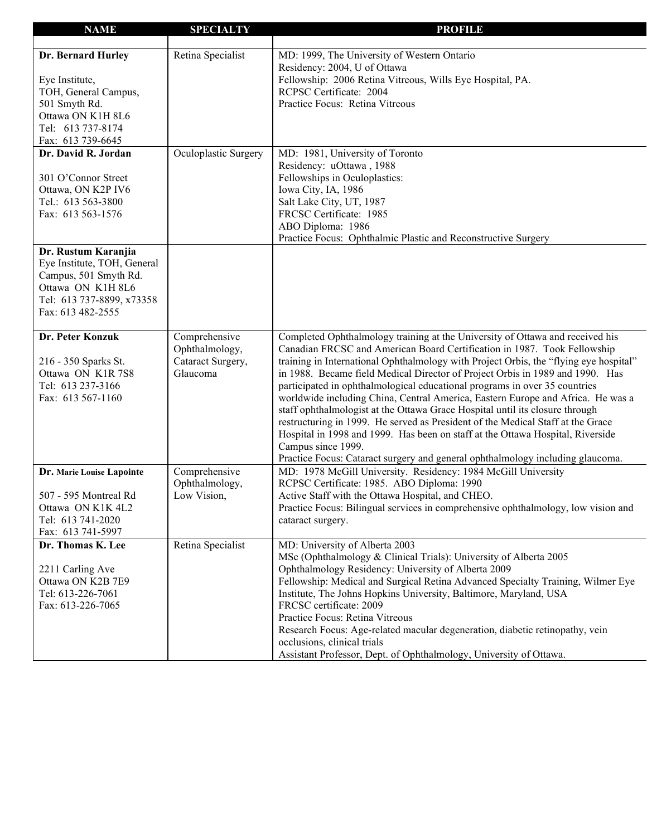| <b>NAME</b>                 | <b>SPECIALTY</b>     | <b>PROFILE</b>                                                                                                                                  |
|-----------------------------|----------------------|-------------------------------------------------------------------------------------------------------------------------------------------------|
|                             |                      |                                                                                                                                                 |
| Dr. Bernard Hurley          | Retina Specialist    | MD: 1999, The University of Western Ontario                                                                                                     |
|                             |                      | Residency: 2004, U of Ottawa                                                                                                                    |
| Eye Institute,              |                      | Fellowship: 2006 Retina Vitreous, Wills Eye Hospital, PA.                                                                                       |
| TOH, General Campus,        |                      | RCPSC Certificate: 2004                                                                                                                         |
| 501 Smyth Rd.               |                      | Practice Focus: Retina Vitreous                                                                                                                 |
| Ottawa ON K1H 8L6           |                      |                                                                                                                                                 |
| Tel: 613 737-8174           |                      |                                                                                                                                                 |
| Fax: 613 739-6645           |                      |                                                                                                                                                 |
| Dr. David R. Jordan         | Oculoplastic Surgery | MD: 1981, University of Toronto                                                                                                                 |
|                             |                      | Residency: uOttawa, 1988                                                                                                                        |
| 301 O'Connor Street         |                      | Fellowships in Oculoplastics:                                                                                                                   |
| Ottawa, ON K2P IV6          |                      | Iowa City, IA, 1986                                                                                                                             |
| Tel.: 613 563-3800          |                      | Salt Lake City, UT, 1987                                                                                                                        |
| Fax: 613 563-1576           |                      | FRCSC Certificate: 1985                                                                                                                         |
|                             |                      | ABO Diploma: 1986                                                                                                                               |
|                             |                      | Practice Focus: Ophthalmic Plastic and Reconstructive Surgery                                                                                   |
| Dr. Rustum Karanjia         |                      |                                                                                                                                                 |
| Eye Institute, TOH, General |                      |                                                                                                                                                 |
| Campus, 501 Smyth Rd.       |                      |                                                                                                                                                 |
| Ottawa ON K1H 8L6           |                      |                                                                                                                                                 |
| Tel: 613 737-8899, x73358   |                      |                                                                                                                                                 |
| Fax: 613 482-2555           |                      |                                                                                                                                                 |
|                             |                      |                                                                                                                                                 |
| Dr. Peter Konzuk            | Comprehensive        | Completed Ophthalmology training at the University of Ottawa and received his                                                                   |
|                             | Ophthalmology,       | Canadian FRCSC and American Board Certification in 1987. Took Fellowship                                                                        |
| 216 - 350 Sparks St.        | Cataract Surgery,    | training in International Ophthalmology with Project Orbis, the "flying eye hospital"                                                           |
| Ottawa ON K1R7S8            | Glaucoma             | in 1988. Became field Medical Director of Project Orbis in 1989 and 1990. Has                                                                   |
| Tel: 613 237-3166           |                      | participated in ophthalmological educational programs in over 35 countries                                                                      |
| Fax: 613 567-1160           |                      | worldwide including China, Central America, Eastern Europe and Africa. He was a                                                                 |
|                             |                      | staff ophthalmologist at the Ottawa Grace Hospital until its closure through                                                                    |
|                             |                      | restructuring in 1999. He served as President of the Medical Staff at the Grace                                                                 |
|                             |                      | Hospital in 1998 and 1999. Has been on staff at the Ottawa Hospital, Riverside                                                                  |
|                             |                      | Campus since 1999.                                                                                                                              |
|                             | Comprehensive        | Practice Focus: Cataract surgery and general ophthalmology including glaucoma.<br>MD: 1978 McGill University. Residency: 1984 McGill University |
| Dr. Marie Louise Lapointe   | Ophthalmology,       | RCPSC Certificate: 1985. ABO Diploma: 1990                                                                                                      |
| 507 - 595 Montreal Rd       | Low Vision,          | Active Staff with the Ottawa Hospital, and CHEO.                                                                                                |
| Ottawa ON K1K 4L2           |                      | Practice Focus: Bilingual services in comprehensive ophthalmology, low vision and                                                               |
| Tel: 613 741-2020           |                      | cataract surgery.                                                                                                                               |
| Fax: 613 741-5997           |                      |                                                                                                                                                 |
| Dr. Thomas K. Lee           | Retina Specialist    | MD: University of Alberta 2003                                                                                                                  |
|                             |                      | MSc (Ophthalmology & Clinical Trials): University of Alberta 2005                                                                               |
| 2211 Carling Ave            |                      | Ophthalmology Residency: University of Alberta 2009                                                                                             |
| Ottawa ON K2B 7E9           |                      | Fellowship: Medical and Surgical Retina Advanced Specialty Training, Wilmer Eye                                                                 |
| Tel: 613-226-7061           |                      | Institute, The Johns Hopkins University, Baltimore, Maryland, USA                                                                               |
| Fax: 613-226-7065           |                      | FRCSC certificate: 2009                                                                                                                         |
|                             |                      | Practice Focus: Retina Vitreous                                                                                                                 |
|                             |                      | Research Focus: Age-related macular degeneration, diabetic retinopathy, vein                                                                    |
|                             |                      | occlusions, clinical trials                                                                                                                     |
|                             |                      | Assistant Professor, Dept. of Ophthalmology, University of Ottawa.                                                                              |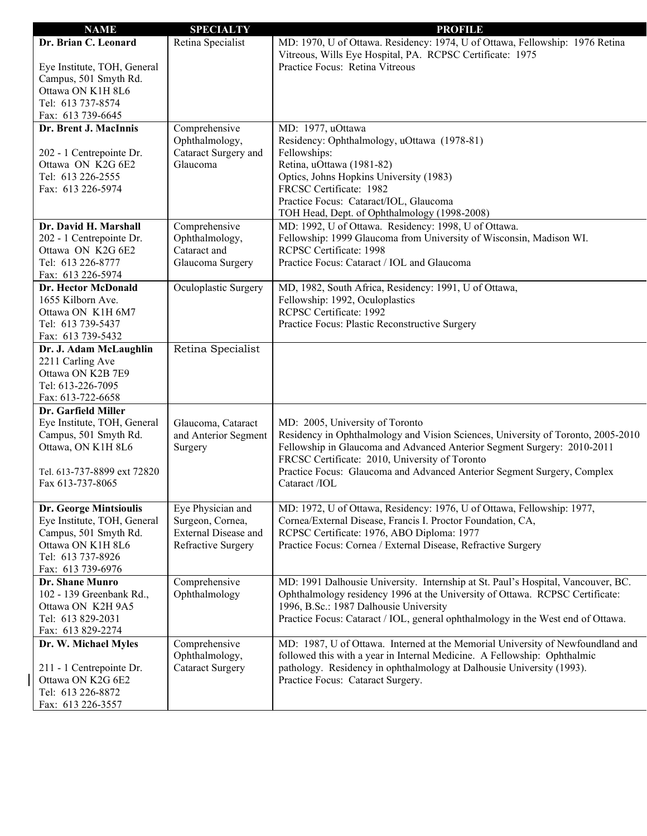| <b>NAME</b>                   | <b>SPECIALTY</b>            | <b>PROFILE</b>                                                                   |
|-------------------------------|-----------------------------|----------------------------------------------------------------------------------|
| Dr. Brian C. Leonard          | Retina Specialist           | MD: 1970, U of Ottawa. Residency: 1974, U of Ottawa, Fellowship: 1976 Retina     |
|                               |                             | Vitreous, Wills Eye Hospital, PA. RCPSC Certificate: 1975                        |
| Eye Institute, TOH, General   |                             | Practice Focus: Retina Vitreous                                                  |
| Campus, 501 Smyth Rd.         |                             |                                                                                  |
| Ottawa ON K1H 8L6             |                             |                                                                                  |
| Tel: 613 737-8574             |                             |                                                                                  |
| Fax: 613 739-6645             |                             |                                                                                  |
| Dr. Brent J. MacInnis         | Comprehensive               | MD: 1977, uOttawa                                                                |
|                               | Ophthalmology,              | Residency: Ophthalmology, uOttawa (1978-81)                                      |
| 202 - 1 Centrepointe Dr.      | Cataract Surgery and        | Fellowships:                                                                     |
| Ottawa ON K2G 6E2             | Glaucoma                    | Retina, uOttawa (1981-82)                                                        |
| Tel: 613 226-2555             |                             | Optics, Johns Hopkins University (1983)                                          |
| Fax: 613 226-5974             |                             | FRCSC Certificate: 1982                                                          |
|                               |                             | Practice Focus: Cataract/IOL, Glaucoma                                           |
|                               |                             | TOH Head, Dept. of Ophthalmology (1998-2008)                                     |
| Dr. David H. Marshall         | Comprehensive               | MD: 1992, U of Ottawa. Residency: 1998, U of Ottawa.                             |
| 202 - 1 Centrepointe Dr.      | Ophthalmology,              | Fellowship: 1999 Glaucoma from University of Wisconsin, Madison WI.              |
| Ottawa ON K2G 6E2             | Cataract and                | RCPSC Certificate: 1998                                                          |
| Tel: 613 226-8777             | Glaucoma Surgery            | Practice Focus: Cataract / IOL and Glaucoma                                      |
| Fax: 613 226-5974             |                             |                                                                                  |
| Dr. Hector McDonald           | Oculoplastic Surgery        | MD, 1982, South Africa, Residency: 1991, U of Ottawa,                            |
| 1655 Kilborn Ave.             |                             | Fellowship: 1992, Oculoplastics                                                  |
| Ottawa ON K1H 6M7             |                             | RCPSC Certificate: 1992                                                          |
| Tel: 613 739-5437             |                             | Practice Focus: Plastic Reconstructive Surgery                                   |
| Fax: 613 739-5432             |                             |                                                                                  |
| Dr. J. Adam McLaughlin        | Retina Specialist           |                                                                                  |
| 2211 Carling Ave              |                             |                                                                                  |
| Ottawa ON K2B 7E9             |                             |                                                                                  |
| Tel: 613-226-7095             |                             |                                                                                  |
| Fax: 613-722-6658             |                             |                                                                                  |
| Dr. Garfield Miller           |                             |                                                                                  |
| Eye Institute, TOH, General   | Glaucoma, Cataract          | MD: 2005, University of Toronto                                                  |
| Campus, 501 Smyth Rd.         | and Anterior Segment        | Residency in Ophthalmology and Vision Sciences, University of Toronto, 2005-2010 |
| Ottawa, ON K1H 8L6            | Surgery                     | Fellowship in Glaucoma and Advanced Anterior Segment Surgery: 2010-2011          |
|                               |                             | FRCSC Certificate: 2010, University of Toronto                                   |
| Tel. 613-737-8899 ext 72820   |                             | Practice Focus: Glaucoma and Advanced Anterior Segment Surgery, Complex          |
| Fax 613-737-8065              |                             | Cataract /IOL                                                                    |
|                               |                             |                                                                                  |
| <b>Dr. George Mintsioulis</b> | Eye Physician and           | MD: 1972, U of Ottawa, Residency: 1976, U of Ottawa, Fellowship: 1977,           |
| Eye Institute, TOH, General   | Surgeon, Cornea,            | Cornea/External Disease, Francis I. Proctor Foundation, CA,                      |
| Campus, 501 Smyth Rd.         | <b>External Disease and</b> | RCPSC Certificate: 1976, ABO Diploma: 1977                                       |
| Ottawa ON K1H 8L6             | Refractive Surgery          | Practice Focus: Cornea / External Disease, Refractive Surgery                    |
| Tel: 613 737-8926             |                             |                                                                                  |
| Fax: 613 739-6976             |                             |                                                                                  |
| Dr. Shane Munro               | Comprehensive               | MD: 1991 Dalhousie University. Internship at St. Paul's Hospital, Vancouver, BC. |
| 102 - 139 Greenbank Rd.,      | Ophthalmology               | Ophthalmology residency 1996 at the University of Ottawa. RCPSC Certificate:     |
| Ottawa ON K2H 9A5             |                             | 1996, B.Sc.: 1987 Dalhousie University                                           |
| Tel: 613 829-2031             |                             | Practice Focus: Cataract / IOL, general ophthalmology in the West end of Ottawa. |
| Fax: 613 829-2274             |                             |                                                                                  |
| Dr. W. Michael Myles          | Comprehensive               | MD: 1987, U of Ottawa. Interned at the Memorial University of Newfoundland and   |
|                               | Ophthalmology,              | followed this with a year in Internal Medicine. A Fellowship: Ophthalmic         |
| 211 - 1 Centrepointe Dr.      | <b>Cataract Surgery</b>     | pathology. Residency in ophthalmology at Dalhousie University (1993).            |
| Ottawa ON K2G 6E2             |                             | Practice Focus: Cataract Surgery.                                                |
| Tel: 613 226-8872             |                             |                                                                                  |
| Fax: 613 226-3557             |                             |                                                                                  |
|                               |                             |                                                                                  |

 $\overline{\phantom{a}}$